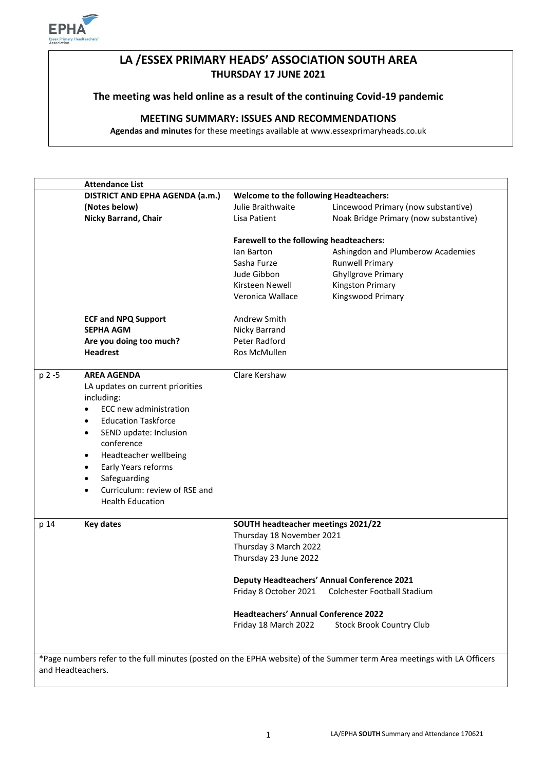

## **LA /ESSEX PRIMARY HEADS' ASSOCIATION SOUTH AREA THURSDAY 17 JUNE 2021**

## **The meeting was held online as a result of the continuing Covid-19 pandemic**

## **MEETING SUMMARY: ISSUES AND RECOMMENDATIONS**

**Agendas and minutes** for these meetings available at www.essexprimaryheads.co.uk

|                   | <b>Attendance List</b>                                                    |                                             |                                                                                                                        |
|-------------------|---------------------------------------------------------------------------|---------------------------------------------|------------------------------------------------------------------------------------------------------------------------|
|                   | DISTRICT AND EPHA AGENDA (a.m.)<br>Welcome to the following Headteachers: |                                             |                                                                                                                        |
|                   | (Notes below)                                                             | Julie Braithwaite                           | Lincewood Primary (now substantive)                                                                                    |
|                   | <b>Nicky Barrand, Chair</b>                                               | Lisa Patient                                | Noak Bridge Primary (now substantive)                                                                                  |
|                   |                                                                           | Farewell to the following headteachers:     |                                                                                                                        |
|                   |                                                                           | lan Barton                                  | Ashingdon and Plumberow Academies                                                                                      |
|                   |                                                                           | Sasha Furze                                 | <b>Runwell Primary</b>                                                                                                 |
|                   |                                                                           | Jude Gibbon                                 | <b>Ghyllgrove Primary</b>                                                                                              |
|                   |                                                                           | Kirsteen Newell                             | Kingston Primary                                                                                                       |
|                   |                                                                           | Veronica Wallace                            | Kingswood Primary                                                                                                      |
|                   | <b>ECF and NPQ Support</b>                                                | Andrew Smith                                |                                                                                                                        |
|                   | <b>SEPHA AGM</b>                                                          | Nicky Barrand                               |                                                                                                                        |
|                   | Are you doing too much?                                                   | Peter Radford                               |                                                                                                                        |
|                   | <b>Headrest</b>                                                           | Ros McMullen                                |                                                                                                                        |
| p 2 -5            | <b>AREA AGENDA</b>                                                        | Clare Kershaw                               |                                                                                                                        |
|                   | LA updates on current priorities                                          |                                             |                                                                                                                        |
|                   | including:                                                                |                                             |                                                                                                                        |
|                   | ECC new administration<br>$\bullet$                                       |                                             |                                                                                                                        |
|                   | <b>Education Taskforce</b><br>$\bullet$                                   |                                             |                                                                                                                        |
|                   | SEND update: Inclusion<br>$\bullet$                                       |                                             |                                                                                                                        |
|                   | conference                                                                |                                             |                                                                                                                        |
|                   | Headteacher wellbeing<br>$\bullet$                                        |                                             |                                                                                                                        |
|                   | Early Years reforms<br>٠                                                  |                                             |                                                                                                                        |
|                   | Safeguarding<br>$\bullet$                                                 |                                             |                                                                                                                        |
|                   | Curriculum: review of RSE and<br>$\bullet$                                |                                             |                                                                                                                        |
|                   | <b>Health Education</b>                                                   |                                             |                                                                                                                        |
| p 14              | <b>Key dates</b>                                                          | SOUTH headteacher meetings 2021/22          |                                                                                                                        |
|                   |                                                                           | Thursday 18 November 2021                   |                                                                                                                        |
|                   |                                                                           | Thursday 3 March 2022                       |                                                                                                                        |
|                   |                                                                           | Thursday 23 June 2022                       |                                                                                                                        |
|                   |                                                                           |                                             | <b>Deputy Headteachers' Annual Conference 2021</b>                                                                     |
|                   |                                                                           | Friday 8 October 2021                       | Colchester Football Stadium                                                                                            |
|                   |                                                                           | <b>Headteachers' Annual Conference 2022</b> |                                                                                                                        |
|                   |                                                                           | Friday 18 March 2022                        | <b>Stock Brook Country Club</b>                                                                                        |
|                   |                                                                           |                                             |                                                                                                                        |
|                   |                                                                           |                                             | *Page numbers refer to the full minutes (posted on the EPHA website) of the Summer term Area meetings with LA Officers |
| and Headteachers. |                                                                           |                                             |                                                                                                                        |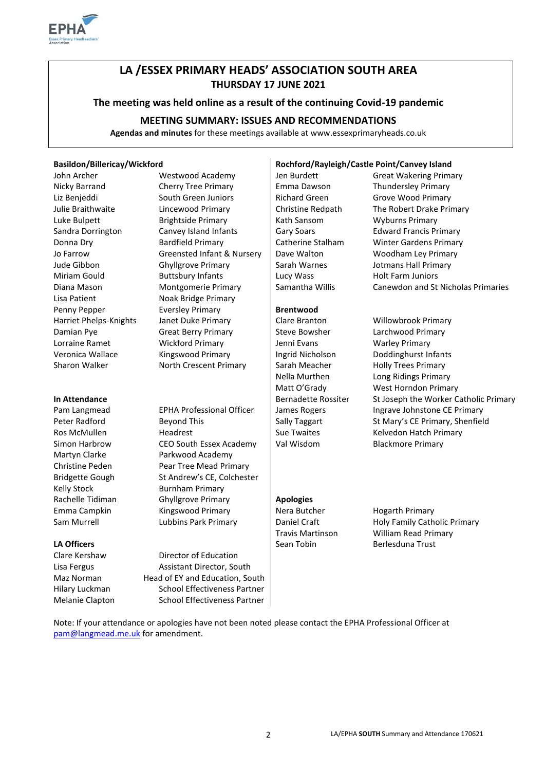

## **LA /ESSEX PRIMARY HEADS' ASSOCIATION SOUTH AREA THURSDAY 17 JUNE 2021**

#### **The meeting was held online as a result of the continuing Covid-19 pandemic**

## **MEETING SUMMARY: ISSUES AND RECOMMENDATIONS**

**Agendas and minutes** for these meetings available at www.essexprimaryheads.co.uk

| John Archer            |  |  |  |
|------------------------|--|--|--|
| Nicky Barrand          |  |  |  |
| Liz Benjeddi           |  |  |  |
| Julie Braithwaite      |  |  |  |
| Luke Bulpett           |  |  |  |
| Sandra Dorrington      |  |  |  |
| Donna Dry              |  |  |  |
| Jo Farrow              |  |  |  |
| Jude Gibbon            |  |  |  |
| Miriam Gould           |  |  |  |
| Diana Mason            |  |  |  |
| Lisa Patient           |  |  |  |
| Penny Pepper           |  |  |  |
| Harriet Phelps-Knights |  |  |  |
| Damian Pye             |  |  |  |
| Lorraine Ramet         |  |  |  |
| Veronica Wallace       |  |  |  |
| Sharon Walker          |  |  |  |
|                        |  |  |  |

Kelly Stock Burnham Primary

Cherry Tree Primary Emma Dawson Thundersley Primary South Green Juniors **Richard Green** Grove Wood Primary Brightside Primary **Example Bulpett Brightside Primary Let also Report Brightside Primary** Canvey Island Infants **Gary Soars** Edward Francis Primary Bardfield Primary **Catherine Stalham** Winter Gardens Primary Greensted Infant & Nursery | Dave Walton Woodham Ley Primary Ghyllgrove Primary **Sarah Warnes** Jotmans Hall Primary Buttsbury Infants | Lucy Wass Holt Farm Juniors Noak Bridge Primary **Eversley Primary Brentwood** Janet Duke Primary **Clare Branton** Willowbrook Primary Great Berry Primary **Steve Bowsher** Larchwood Primary Wickford Primary **Vickford Primary** Jenni Evans Warley Primary Kingswood Primary **Ingrid Nicholson** Doddinghurst Infants

Ros McMullen **Headrest** Headrest Sue Twaites Kelvedon Hatch Primary Simon Harbrow **CEO South Essex Academy** | Val Wisdom Blackmore Primary Martyn Clarke Parkwood Academy Christine Peden Pear Tree Mead Primary Bridgette Gough St Andrew's CE, Colchester Rachelle Tidiman Ghyllgrove Primary **Apologies** Emma Campkin Kingswood Primary Nera Butcher Hogarth Primary

Clare Kershaw Director of Education Lisa Fergus **Assistant Director, South** Maz Norman Head of EY and Education, South Hilary Luckman School Effectiveness Partner Melanie Clapton School Effectiveness Partner

#### **Basildon/Billericay/Wickford Rochford/Rayleigh/Castle Point/Canvey Island**

North Crescent Primary | Sarah Meacher Holly Trees Primary

# Westwood Academy Jen Burdett Great Wakering Primary Lincewood Primary | Christine Redpath The Robert Drake Primary Montgomerie Primary Samantha Willis Canewdon and St Nicholas Primaries

Nella Murthen Long Ridings Primary Matt O'Grady West Horndon Primary In Attendance **In Attendance Bernadette Rossiter** St Joseph the Worker Catholic Primary Pam Langmead EPHA Professional Officer | James Rogers Ingrave Johnstone CE Primary Peter Radford **Beyond This** Beyond This Sally Taggart St Mary's CE Primary, Shenfield

Sam Murrell **Sam Murrell** Lubbins Park Primary **Daniel Craft** Holy Family Catholic Primary **Catholic Primary** William Read Primary **LA Officers** Sean Tobin Berlesduna Trust **Sean Tobin** Berlesduna Trust

Note: If your attendance or apologies have not been noted please contact the EPHA Professional Officer at [pam@langmead.me.uk](mailto:pam@langmead.me.uk) for amendment.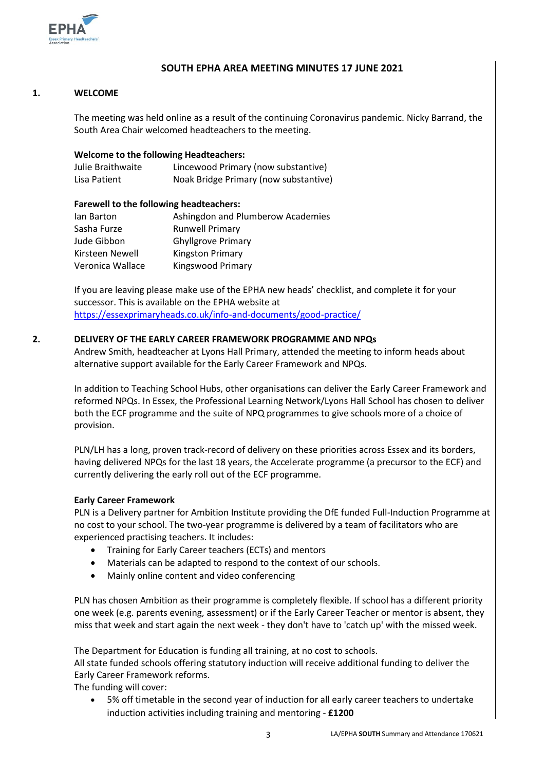

## **SOUTH EPHA AREA MEETING MINUTES 17 JUNE 2021**

#### **1. WELCOME**

The meeting was held online as a result of the continuing Coronavirus pandemic. Nicky Barrand, the South Area Chair welcomed headteachers to the meeting.

#### **Welcome to the following Headteachers:**

| Julie Braithwaite | Lincewood Primary (now substantive)   |
|-------------------|---------------------------------------|
| Lisa Patient      | Noak Bridge Primary (now substantive) |

#### **Farewell to the following headteachers:**

| lan Barton       | Ashingdon and Plumberow Academies |
|------------------|-----------------------------------|
| Sasha Furze      | <b>Runwell Primary</b>            |
| Jude Gibbon      | <b>Ghyllgrove Primary</b>         |
| Kirsteen Newell  | <b>Kingston Primary</b>           |
| Veronica Wallace | Kingswood Primary                 |

If you are leaving please make use of the EPHA new heads' checklist, and complete it for your successor. This is available on the EPHA website at <https://essexprimaryheads.co.uk/info-and-documents/good-practice/>

#### **2. DELIVERY OF THE EARLY CAREER FRAMEWORK PROGRAMME AND NPQs**

Andrew Smith, headteacher at Lyons Hall Primary, attended the meeting to inform heads about alternative support available for the Early Career Framework and NPQs.

In addition to Teaching School Hubs, other organisations can deliver the Early Career Framework and reformed NPQs. In Essex, the Professional Learning Network/Lyons Hall School has chosen to deliver both the ECF programme and the suite of NPQ programmes to give schools more of a choice of provision.

PLN/LH has a long, proven track-record of delivery on these priorities across Essex and its borders, having delivered NPQs for the last 18 years, the Accelerate programme (a precursor to the ECF) and currently delivering the early roll out of the ECF programme.

#### **Early Career Framework**

PLN is a Delivery partner for Ambition Institute providing the DfE funded Full-Induction Programme at no cost to your school. The two-year programme is delivered by a team of facilitators who are experienced practising teachers. It includes:

- Training for Early Career teachers (ECTs) and mentors
- Materials can be adapted to respond to the context of our schools.
- Mainly online content and video conferencing

PLN has chosen Ambition as their programme is completely flexible. If school has a different priority one week (e.g. parents evening, assessment) or if the Early Career Teacher or mentor is absent, they miss that week and start again the next week - they don't have to 'catch up' with the missed week.

The Department for Education is funding all training, at no cost to schools.

All state funded schools offering statutory induction will receive additional funding to deliver the Early Career Framework reforms.

The funding will cover:

 5% off timetable in the second year of induction for all early career teachers to undertake induction activities including training and mentoring - **£1200**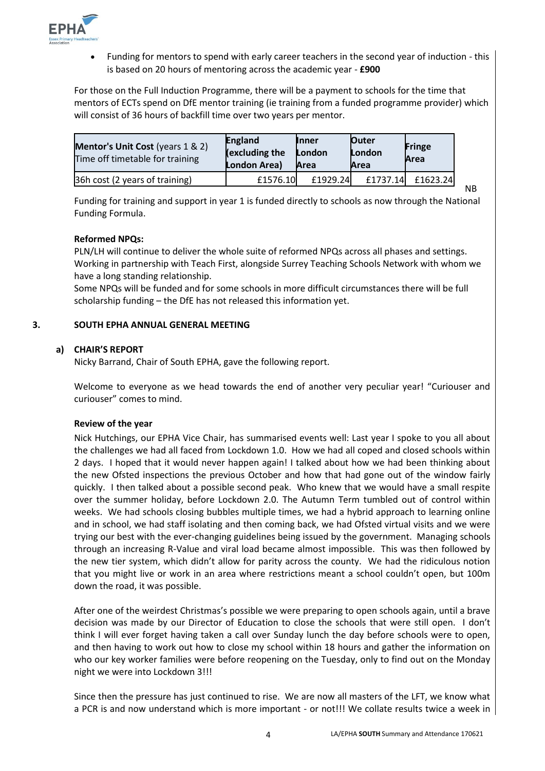

 Funding for mentors to spend with early career teachers in the second year of induction - this is based on 20 hours of mentoring across the academic year - **£900**

For those on the Full Induction Programme, there will be a payment to schools for the time that mentors of ECTs spend on DfE mentor training (ie training from a funded programme provider) which will consist of 36 hours of backfill time over two years per mentor.

| <b>Mentor's Unit Cost</b> (years 1 & 2)<br>Time off timetable for training | <b>England</b><br>(excluding the<br>London Area) | <b>Inner</b><br>London<br>Area | <b>Outer</b><br>London<br>Area | <b>Fringe</b><br>Area |
|----------------------------------------------------------------------------|--------------------------------------------------|--------------------------------|--------------------------------|-----------------------|
| 36h cost (2 years of training)                                             | £1576.10                                         | £1929.24                       | £1737.14                       | £1623.24              |

Funding for training and support in year 1 is funded directly to schools as now through the National Funding Formula.

#### **Reformed NPQs:**

PLN/LH will continue to deliver the whole suite of reformed NPQs across all phases and settings. Working in partnership with Teach First, alongside Surrey Teaching Schools Network with whom we have a long standing relationship.

Some NPQs will be funded and for some schools in more difficult circumstances there will be full scholarship funding – the DfE has not released this information yet.

#### **3. SOUTH EPHA ANNUAL GENERAL MEETING**

#### **a) CHAIR'S REPORT**

Nicky Barrand, Chair of South EPHA, gave the following report.

Welcome to everyone as we head towards the end of another very peculiar year! "Curiouser and curiouser" comes to mind.

#### **Review of the year**

Nick Hutchings, our EPHA Vice Chair, has summarised events well: Last year I spoke to you all about the challenges we had all faced from Lockdown 1.0. How we had all coped and closed schools within 2 days. I hoped that it would never happen again! I talked about how we had been thinking about the new Ofsted inspections the previous October and how that had gone out of the window fairly quickly. I then talked about a possible second peak. Who knew that we would have a small respite over the summer holiday, before Lockdown 2.0. The Autumn Term tumbled out of control within weeks. We had schools closing bubbles multiple times, we had a hybrid approach to learning online and in school, we had staff isolating and then coming back, we had Ofsted virtual visits and we were trying our best with the ever-changing guidelines being issued by the government. Managing schools through an increasing R-Value and viral load became almost impossible. This was then followed by the new tier system, which didn't allow for parity across the county. We had the ridiculous notion that you might live or work in an area where restrictions meant a school couldn't open, but 100m down the road, it was possible.

After one of the weirdest Christmas's possible we were preparing to open schools again, until a brave decision was made by our Director of Education to close the schools that were still open. I don't think I will ever forget having taken a call over Sunday lunch the day before schools were to open, and then having to work out how to close my school within 18 hours and gather the information on who our key worker families were before reopening on the Tuesday, only to find out on the Monday night we were into Lockdown 3!!!

Since then the pressure has just continued to rise. We are now all masters of the LFT, we know what a PCR is and now understand which is more important - or not!!! We collate results twice a week in

NB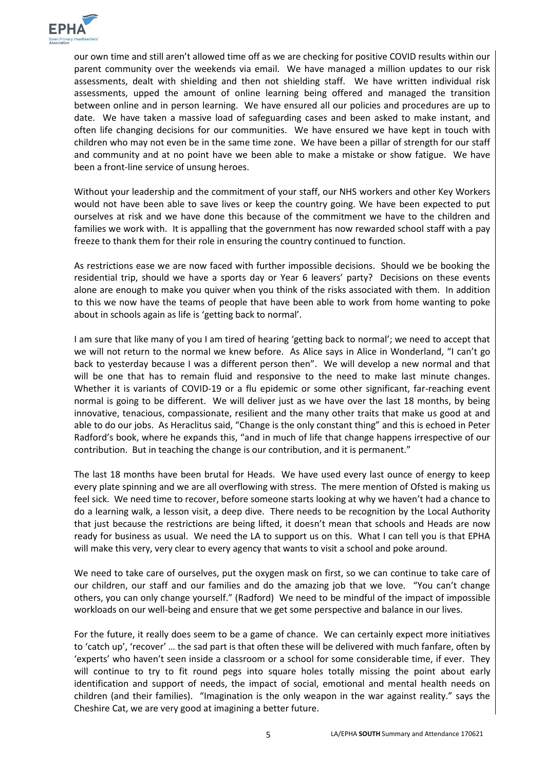

our own time and still aren't allowed time off as we are checking for positive COVID results within our parent community over the weekends via email. We have managed a million updates to our risk assessments, dealt with shielding and then not shielding staff. We have written individual risk assessments, upped the amount of online learning being offered and managed the transition between online and in person learning. We have ensured all our policies and procedures are up to date. We have taken a massive load of safeguarding cases and been asked to make instant, and often life changing decisions for our communities. We have ensured we have kept in touch with children who may not even be in the same time zone. We have been a pillar of strength for our staff and community and at no point have we been able to make a mistake or show fatigue. We have been a front-line service of unsung heroes.

Without your leadership and the commitment of your staff, our NHS workers and other Key Workers would not have been able to save lives or keep the country going. We have been expected to put ourselves at risk and we have done this because of the commitment we have to the children and families we work with. It is appalling that the government has now rewarded school staff with a pay freeze to thank them for their role in ensuring the country continued to function.

As restrictions ease we are now faced with further impossible decisions. Should we be booking the residential trip, should we have a sports day or Year 6 leavers' party? Decisions on these events alone are enough to make you quiver when you think of the risks associated with them. In addition to this we now have the teams of people that have been able to work from home wanting to poke about in schools again as life is 'getting back to normal'.

I am sure that like many of you I am tired of hearing 'getting back to normal'; we need to accept that we will not return to the normal we knew before. As Alice says in Alice in Wonderland, "I can't go back to yesterday because I was a different person then". We will develop a new normal and that will be one that has to remain fluid and responsive to the need to make last minute changes. Whether it is variants of COVID-19 or a flu epidemic or some other significant, far-reaching event normal is going to be different. We will deliver just as we have over the last 18 months, by being innovative, tenacious, compassionate, resilient and the many other traits that make us good at and able to do our jobs. As Heraclitus said, "Change is the only constant thing" and this is echoed in Peter Radford's book, where he expands this, "and in much of life that change happens irrespective of our contribution. But in teaching the change is our contribution, and it is permanent."

The last 18 months have been brutal for Heads. We have used every last ounce of energy to keep every plate spinning and we are all overflowing with stress. The mere mention of Ofsted is making us feel sick. We need time to recover, before someone starts looking at why we haven't had a chance to do a learning walk, a lesson visit, a deep dive. There needs to be recognition by the Local Authority that just because the restrictions are being lifted, it doesn't mean that schools and Heads are now ready for business as usual. We need the LA to support us on this. What I can tell you is that EPHA will make this very, very clear to every agency that wants to visit a school and poke around.

We need to take care of ourselves, put the oxygen mask on first, so we can continue to take care of our children, our staff and our families and do the amazing job that we love. "You can't change others, you can only change yourself." (Radford) We need to be mindful of the impact of impossible workloads on our well-being and ensure that we get some perspective and balance in our lives.

For the future, it really does seem to be a game of chance. We can certainly expect more initiatives to 'catch up', 'recover' … the sad part is that often these will be delivered with much fanfare, often by 'experts' who haven't seen inside a classroom or a school for some considerable time, if ever. They will continue to try to fit round pegs into square holes totally missing the point about early identification and support of needs, the impact of social, emotional and mental health needs on children (and their families). "Imagination is the only weapon in the war against reality." says the Cheshire Cat, we are very good at imagining a better future.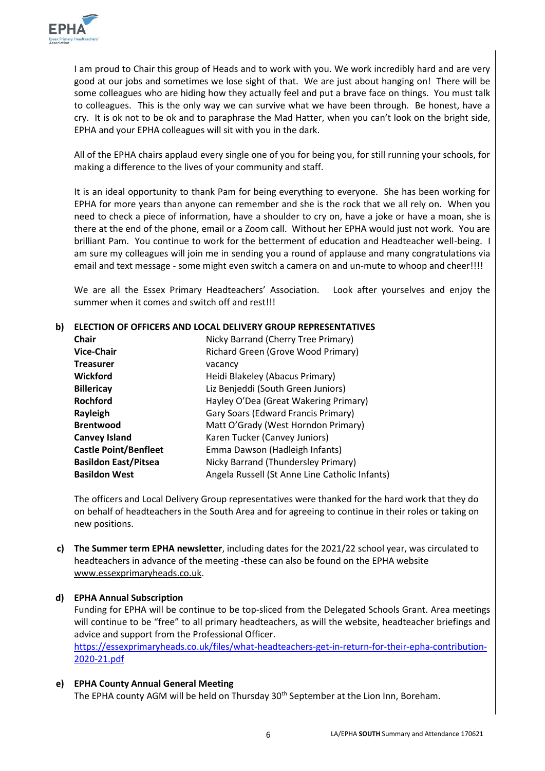

I am proud to Chair this group of Heads and to work with you. We work incredibly hard and are very good at our jobs and sometimes we lose sight of that. We are just about hanging on! There will be some colleagues who are hiding how they actually feel and put a brave face on things. You must talk to colleagues. This is the only way we can survive what we have been through. Be honest, have a cry. It is ok not to be ok and to paraphrase the Mad Hatter, when you can't look on the bright side, EPHA and your EPHA colleagues will sit with you in the dark.

All of the EPHA chairs applaud every single one of you for being you, for still running your schools, for making a difference to the lives of your community and staff.

It is an ideal opportunity to thank Pam for being everything to everyone. She has been working for EPHA for more years than anyone can remember and she is the rock that we all rely on. When you need to check a piece of information, have a shoulder to cry on, have a joke or have a moan, she is there at the end of the phone, email or a Zoom call. Without her EPHA would just not work. You are brilliant Pam. You continue to work for the betterment of education and Headteacher well-being. I am sure my colleagues will join me in sending you a round of applause and many congratulations via email and text message - some might even switch a camera on and un-mute to whoop and cheer!!!!

We are all the Essex Primary Headteachers' Association. Look after yourselves and enjoy the summer when it comes and switch off and rest!!!

## **b) ELECTION OF OFFICERS AND LOCAL DELIVERY GROUP REPRESENTATIVES**

| <b>Chair</b>                 | Nicky Barrand (Cherry Tree Primary)            |
|------------------------------|------------------------------------------------|
| <b>Vice-Chair</b>            | Richard Green (Grove Wood Primary)             |
| <b>Treasurer</b>             | vacancy                                        |
| <b>Wickford</b>              | Heidi Blakeley (Abacus Primary)                |
| <b>Billericay</b>            | Liz Benjeddi (South Green Juniors)             |
| <b>Rochford</b>              | Hayley O'Dea (Great Wakering Primary)          |
| Rayleigh                     | Gary Soars (Edward Francis Primary)            |
| <b>Brentwood</b>             | Matt O'Grady (West Horndon Primary)            |
| <b>Canvey Island</b>         | Karen Tucker (Canvey Juniors)                  |
| <b>Castle Point/Benfleet</b> | Emma Dawson (Hadleigh Infants)                 |
| <b>Basildon East/Pitsea</b>  | Nicky Barrand (Thundersley Primary)            |
| <b>Basildon West</b>         | Angela Russell (St Anne Line Catholic Infants) |

The officers and Local Delivery Group representatives were thanked for the hard work that they do on behalf of headteachers in the South Area and for agreeing to continue in their roles or taking on new positions.

**c) The Summer term EPHA newsletter**, including dates for the 2021/22 school year, was circulated to headteachers in advance of the meeting -these can also be found on the EPHA website [www.essexprimaryheads.co.uk.](http://www.essexprimaryheads.co.uk/)

#### **d) EPHA Annual Subscription**

Funding for EPHA will be continue to be top-sliced from the Delegated Schools Grant. Area meetings will continue to be "free" to all primary headteachers, as will the website, headteacher briefings and advice and support from the Professional Officer.

[https://essexprimaryheads.co.uk/files/what-headteachers-get-in-return-for-their-epha-contribution-](https://essexprimaryheads.co.uk/files/what-headteachers-get-in-return-for-their-epha-contribution-2020-21.pdf)[2020-21.pdf](https://essexprimaryheads.co.uk/files/what-headteachers-get-in-return-for-their-epha-contribution-2020-21.pdf)

#### **e) EPHA County Annual General Meeting**

The EPHA county AGM will be held on Thursday 30<sup>th</sup> September at the Lion Inn, Boreham.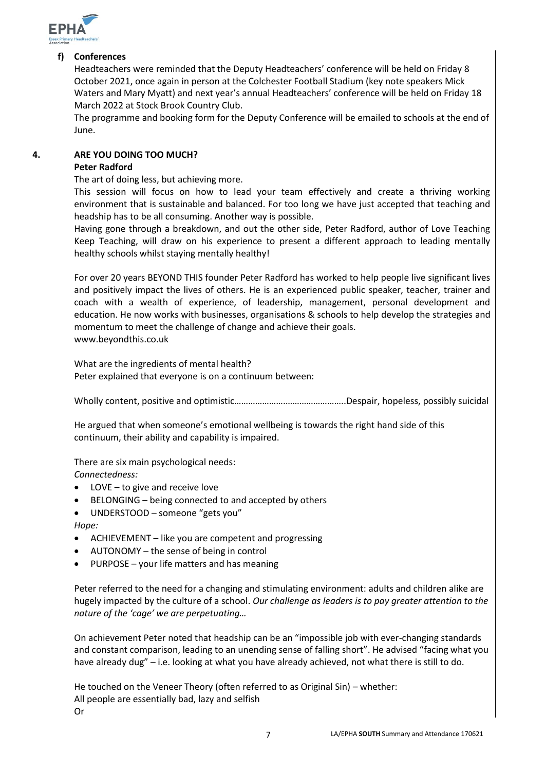

#### **f) Conferences**

Headteachers were reminded that the Deputy Headteachers' conference will be held on Friday 8 October 2021, once again in person at the Colchester Football Stadium (key note speakers Mick Waters and Mary Myatt) and next year's annual Headteachers' conference will be held on Friday 18 March 2022 at Stock Brook Country Club.

The programme and booking form for the Deputy Conference will be emailed to schools at the end of June.

#### **4. ARE YOU DOING TOO MUCH?**

#### **Peter Radford**

The art of doing less, but achieving more.

This session will focus on how to lead your team effectively and create a thriving working environment that is sustainable and balanced. For too long we have just accepted that teaching and headship has to be all consuming. Another way is possible.

Having gone through a breakdown, and out the other side, Peter Radford, author of Love Teaching Keep Teaching, will draw on his experience to present a different approach to leading mentally healthy schools whilst staying mentally healthy!

For over 20 years BEYOND THIS founder Peter Radford has worked to help people live significant lives and positively impact the lives of others. He is an experienced public speaker, teacher, trainer and coach with a wealth of experience, of leadership, management, personal development and education. He now works with businesses, organisations & schools to help develop the strategies and momentum to meet the challenge of change and achieve their goals. www.beyondthis.co.uk

What are the ingredients of mental health? Peter explained that everyone is on a continuum between:

Wholly content, positive and optimistic………………….……………………..Despair, hopeless, possibly suicidal

He argued that when someone's emotional wellbeing is towards the right hand side of this continuum, their ability and capability is impaired.

There are six main psychological needs: *Connectedness:*

- LOVE to give and receive love
- BELONGING being connected to and accepted by others
- UNDERSTOOD someone "gets you"
- *Hope:*
- ACHIEVEMENT like you are competent and progressing
- AUTONOMY the sense of being in control
- PURPOSE your life matters and has meaning

Peter referred to the need for a changing and stimulating environment: adults and children alike are hugely impacted by the culture of a school. *Our challenge as leaders is to pay greater attention to the nature of the 'cage' we are perpetuating…*

On achievement Peter noted that headship can be an "impossible job with ever-changing standards and constant comparison, leading to an unending sense of falling short". He advised "facing what you have already dug" – i.e. looking at what you have already achieved, not what there is still to do.

He touched on the Veneer Theory (often referred to as Original Sin) – whether: All people are essentially bad, lazy and selfish Or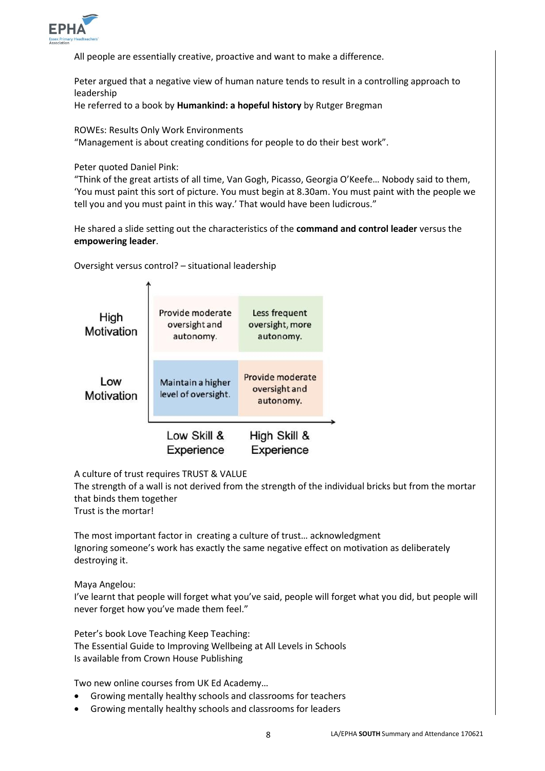

All people are essentially creative, proactive and want to make a difference.

Peter argued that a negative view of human nature tends to result in a controlling approach to leadership

He referred to a book by **Humankind: a hopeful history** by Rutger Bregman

ROWEs: Results Only Work Environments

"Management is about creating conditions for people to do their best work".

Peter quoted Daniel Pink:

"Think of the great artists of all time, Van Gogh, Picasso, Georgia O'Keefe… Nobody said to them, 'You must paint this sort of picture. You must begin at 8.30am. You must paint with the people we tell you and you must paint in this way.' That would have been ludicrous."

He shared a slide setting out the characteristics of the **command and control leader** versus the **empowering leader**.

Oversight versus control? – situational leadership



A culture of trust requires TRUST & VALUE

The strength of a wall is not derived from the strength of the individual bricks but from the mortar that binds them together

Trust is the mortar!

The most important factor in creating a culture of trust… acknowledgment Ignoring someone's work has exactly the same negative effect on motivation as deliberately destroying it.

Maya Angelou:

I've learnt that people will forget what you've said, people will forget what you did, but people will never forget how you've made them feel."

Peter's book Love Teaching Keep Teaching: The Essential Guide to Improving Wellbeing at All Levels in Schools Is available from Crown House Publishing

Two new online courses from UK Ed Academy…

- Growing mentally healthy schools and classrooms for teachers
- Growing mentally healthy schools and classrooms for leaders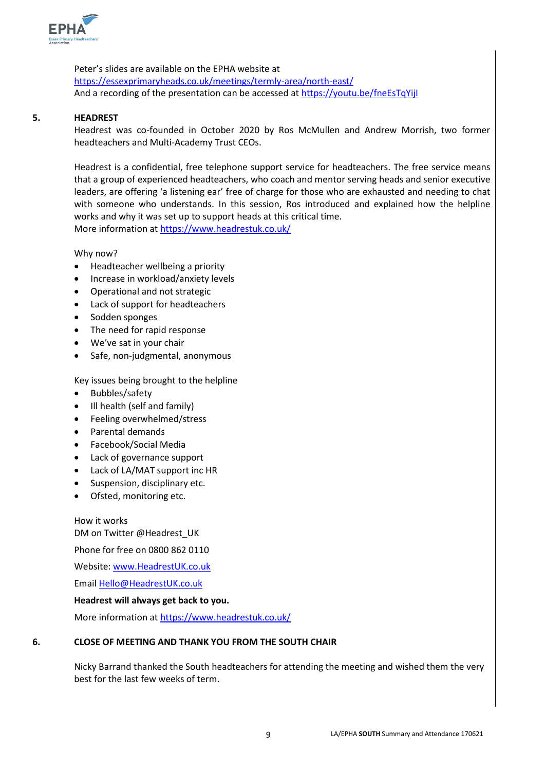

Peter's slides are available on the EPHA website at <https://essexprimaryheads.co.uk/meetings/termly-area/north-east/> And a recording of the presentation can be accessed at https://youtu.be/fneEsTqYijl

#### **5. HEADREST**

Headrest was co-founded in October 2020 by Ros McMullen and Andrew Morrish, two former headteachers and Multi-Academy Trust CEOs.

Headrest is a confidential, free telephone support service for headteachers. The free service means that a group of experienced headteachers, who coach and mentor serving heads and senior executive leaders, are offering 'a listening ear' free of charge for those who are exhausted and needing to chat with someone who understands. In this session, Ros introduced and explained how the helpline works and why it was set up to support heads at this critical time. More information at<https://www.headrestuk.co.uk/>

Why now?

- Headteacher wellbeing a priority
- Increase in workload/anxiety levels
- Operational and not strategic
- Lack of support for headteachers
- Sodden sponges
- The need for rapid response
- We've sat in your chair
- Safe, non-judgmental, anonymous

Key issues being brought to the helpline

- Bubbles/safety
- Ill health (self and family)
- Feeling overwhelmed/stress
- Parental demands
- Facebook/Social Media
- Lack of governance support
- Lack of LA/MAT support inc HR
- Suspension, disciplinary etc.
- Ofsted, monitoring etc.

How it works DM on Twitter @Headrest\_UK

Phone for free on 0800 862 0110

Website[: www.HeadrestUK.co.uk](http://www.headrestuk.co.uk/)

Email [Hello@HeadrestUK.co.uk](mailto:Hello@HeadrestUK.co.uk)

#### **Headrest will always get back to you.**

More information at<https://www.headrestuk.co.uk/>

#### **6. CLOSE OF MEETING AND THANK YOU FROM THE SOUTH CHAIR**

Nicky Barrand thanked the South headteachers for attending the meeting and wished them the very best for the last few weeks of term.